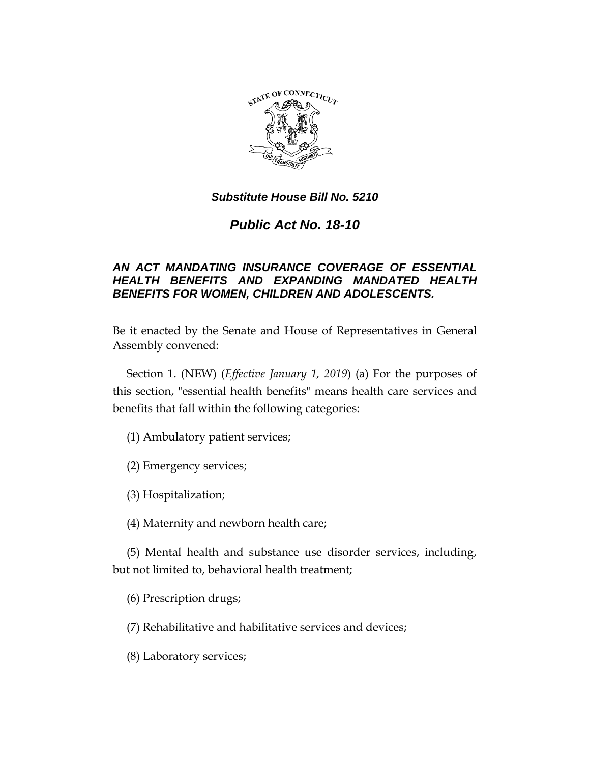

# *Public Act No. 18-10*

## *AN ACT MANDATING INSURANCE COVERAGE OF ESSENTIAL HEALTH BENEFITS AND EXPANDING MANDATED HEALTH BENEFITS FOR WOMEN, CHILDREN AND ADOLESCENTS.*

Be it enacted by the Senate and House of Representatives in General Assembly convened:

Section 1. (NEW) (*Effective January 1, 2019*) (a) For the purposes of this section, "essential health benefits" means health care services and benefits that fall within the following categories:

(1) Ambulatory patient services;

(2) Emergency services;

(3) Hospitalization;

(4) Maternity and newborn health care;

(5) Mental health and substance use disorder services, including, but not limited to, behavioral health treatment;

(6) Prescription drugs;

(7) Rehabilitative and habilitative services and devices;

(8) Laboratory services;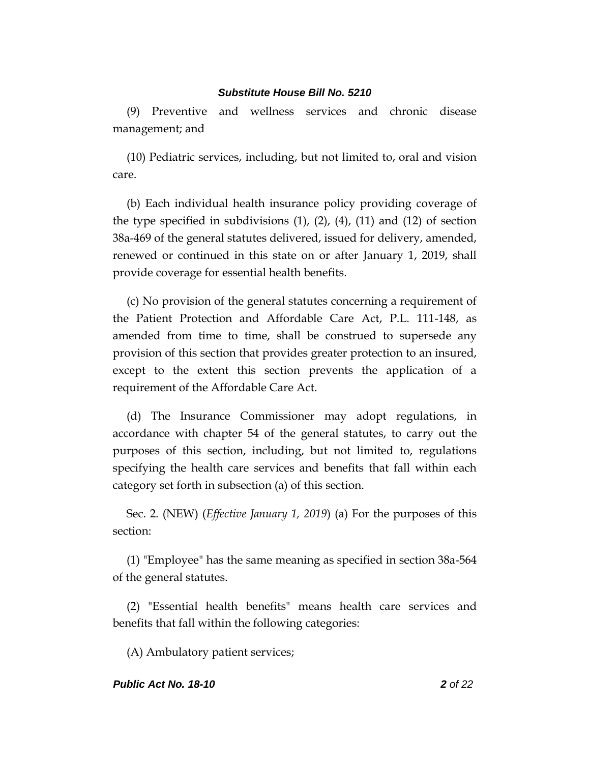(9) Preventive and wellness services and chronic disease management; and

(10) Pediatric services, including, but not limited to, oral and vision care.

(b) Each individual health insurance policy providing coverage of the type specified in subdivisions  $(1)$ ,  $(2)$ ,  $(4)$ ,  $(11)$  and  $(12)$  of section 38a-469 of the general statutes delivered, issued for delivery, amended, renewed or continued in this state on or after January 1, 2019, shall provide coverage for essential health benefits.

(c) No provision of the general statutes concerning a requirement of the Patient Protection and Affordable Care Act, P.L. 111-148, as amended from time to time, shall be construed to supersede any provision of this section that provides greater protection to an insured, except to the extent this section prevents the application of a requirement of the Affordable Care Act.

(d) The Insurance Commissioner may adopt regulations, in accordance with chapter 54 of the general statutes, to carry out the purposes of this section, including, but not limited to, regulations specifying the health care services and benefits that fall within each category set forth in subsection (a) of this section.

Sec. 2. (NEW) (*Effective January 1, 2019*) (a) For the purposes of this section:

(1) "Employee" has the same meaning as specified in section 38a-564 of the general statutes.

(2) "Essential health benefits" means health care services and benefits that fall within the following categories:

(A) Ambulatory patient services;

### *Public Act No. 18-10 2 of 22*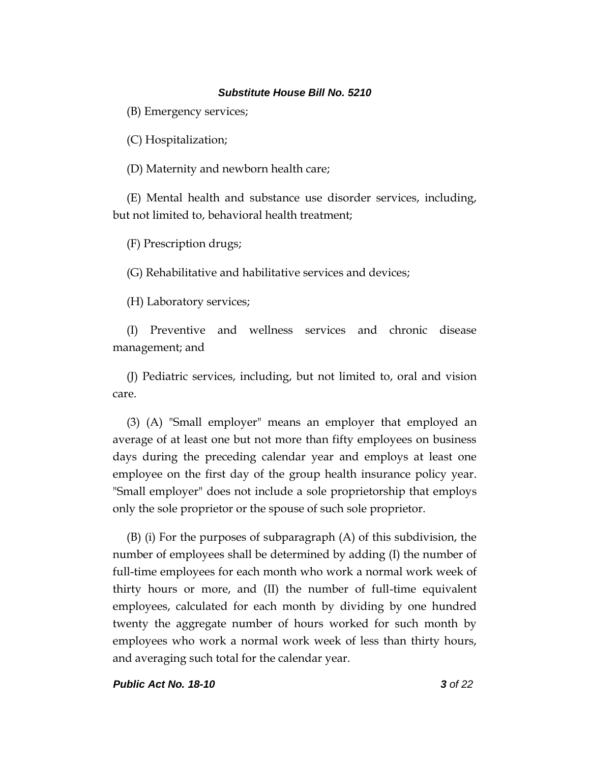(B) Emergency services;

(C) Hospitalization;

(D) Maternity and newborn health care;

(E) Mental health and substance use disorder services, including, but not limited to, behavioral health treatment;

(F) Prescription drugs;

(G) Rehabilitative and habilitative services and devices;

(H) Laboratory services;

(I) Preventive and wellness services and chronic disease management; and

(J) Pediatric services, including, but not limited to, oral and vision care.

(3) (A) "Small employer" means an employer that employed an average of at least one but not more than fifty employees on business days during the preceding calendar year and employs at least one employee on the first day of the group health insurance policy year. "Small employer" does not include a sole proprietorship that employs only the sole proprietor or the spouse of such sole proprietor.

(B) (i) For the purposes of subparagraph (A) of this subdivision, the number of employees shall be determined by adding (I) the number of full-time employees for each month who work a normal work week of thirty hours or more, and (II) the number of full-time equivalent employees, calculated for each month by dividing by one hundred twenty the aggregate number of hours worked for such month by employees who work a normal work week of less than thirty hours, and averaging such total for the calendar year.

*Public Act No. 18-10 3 of 22*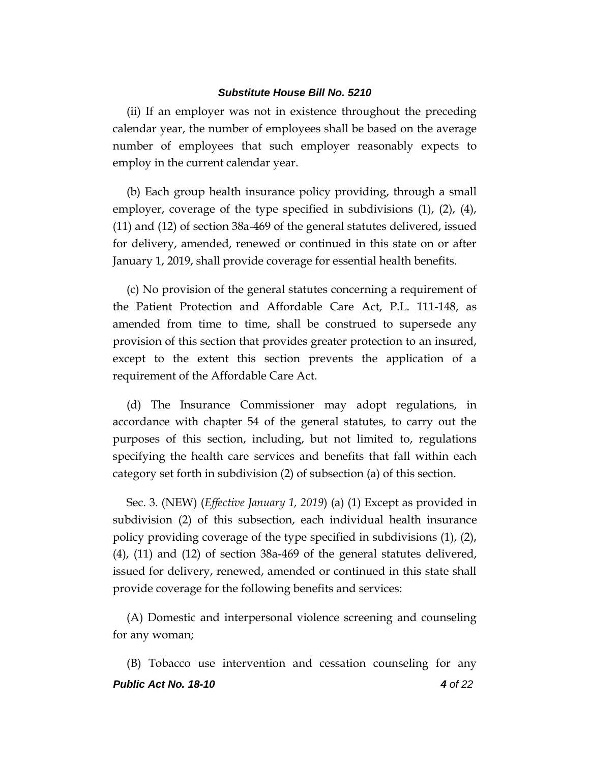(ii) If an employer was not in existence throughout the preceding calendar year, the number of employees shall be based on the average number of employees that such employer reasonably expects to employ in the current calendar year.

(b) Each group health insurance policy providing, through a small employer, coverage of the type specified in subdivisions (1), (2), (4), (11) and (12) of section 38a-469 of the general statutes delivered, issued for delivery, amended, renewed or continued in this state on or after January 1, 2019, shall provide coverage for essential health benefits.

(c) No provision of the general statutes concerning a requirement of the Patient Protection and Affordable Care Act, P.L. 111-148, as amended from time to time, shall be construed to supersede any provision of this section that provides greater protection to an insured, except to the extent this section prevents the application of a requirement of the Affordable Care Act.

(d) The Insurance Commissioner may adopt regulations, in accordance with chapter 54 of the general statutes, to carry out the purposes of this section, including, but not limited to, regulations specifying the health care services and benefits that fall within each category set forth in subdivision (2) of subsection (a) of this section.

Sec. 3. (NEW) (*Effective January 1, 2019*) (a) (1) Except as provided in subdivision (2) of this subsection, each individual health insurance policy providing coverage of the type specified in subdivisions (1), (2), (4), (11) and (12) of section 38a-469 of the general statutes delivered, issued for delivery, renewed, amended or continued in this state shall provide coverage for the following benefits and services:

(A) Domestic and interpersonal violence screening and counseling for any woman;

*Public Act No. 18-10 4 of 22* (B) Tobacco use intervention and cessation counseling for any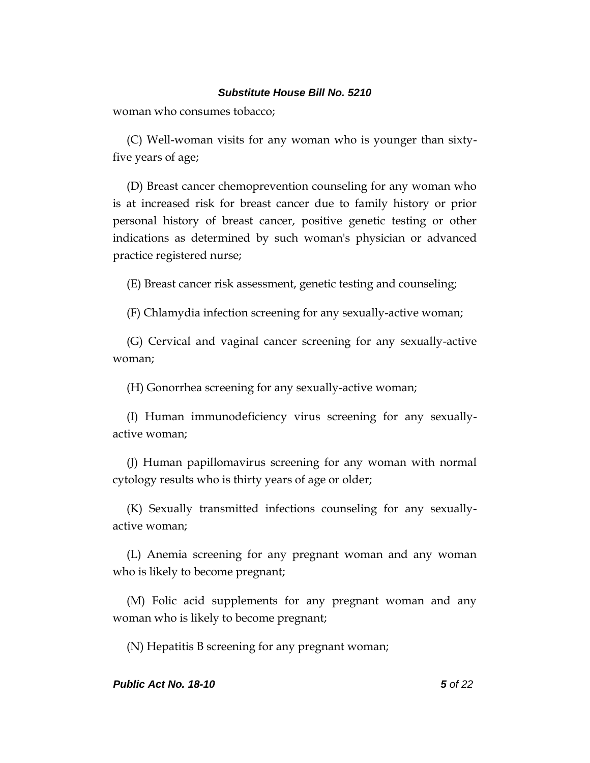woman who consumes tobacco;

(C) Well-woman visits for any woman who is younger than sixtyfive years of age;

(D) Breast cancer chemoprevention counseling for any woman who is at increased risk for breast cancer due to family history or prior personal history of breast cancer, positive genetic testing or other indications as determined by such woman's physician or advanced practice registered nurse;

(E) Breast cancer risk assessment, genetic testing and counseling;

(F) Chlamydia infection screening for any sexually-active woman;

(G) Cervical and vaginal cancer screening for any sexually-active woman;

(H) Gonorrhea screening for any sexually-active woman;

(I) Human immunodeficiency virus screening for any sexuallyactive woman;

(J) Human papillomavirus screening for any woman with normal cytology results who is thirty years of age or older;

(K) Sexually transmitted infections counseling for any sexuallyactive woman;

(L) Anemia screening for any pregnant woman and any woman who is likely to become pregnant;

(M) Folic acid supplements for any pregnant woman and any woman who is likely to become pregnant;

(N) Hepatitis B screening for any pregnant woman;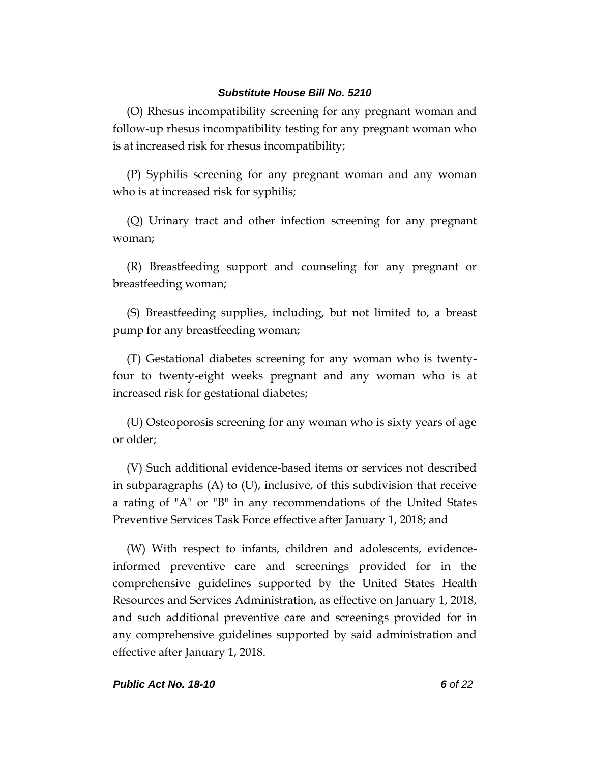(O) Rhesus incompatibility screening for any pregnant woman and follow-up rhesus incompatibility testing for any pregnant woman who is at increased risk for rhesus incompatibility;

(P) Syphilis screening for any pregnant woman and any woman who is at increased risk for syphilis;

(Q) Urinary tract and other infection screening for any pregnant woman;

(R) Breastfeeding support and counseling for any pregnant or breastfeeding woman;

(S) Breastfeeding supplies, including, but not limited to, a breast pump for any breastfeeding woman;

(T) Gestational diabetes screening for any woman who is twentyfour to twenty-eight weeks pregnant and any woman who is at increased risk for gestational diabetes;

(U) Osteoporosis screening for any woman who is sixty years of age or older;

(V) Such additional evidence-based items or services not described in subparagraphs (A) to (U), inclusive, of this subdivision that receive a rating of "A" or "B" in any recommendations of the United States Preventive Services Task Force effective after January 1, 2018; and

(W) With respect to infants, children and adolescents, evidenceinformed preventive care and screenings provided for in the comprehensive guidelines supported by the United States Health Resources and Services Administration, as effective on January 1, 2018, and such additional preventive care and screenings provided for in any comprehensive guidelines supported by said administration and effective after January 1, 2018.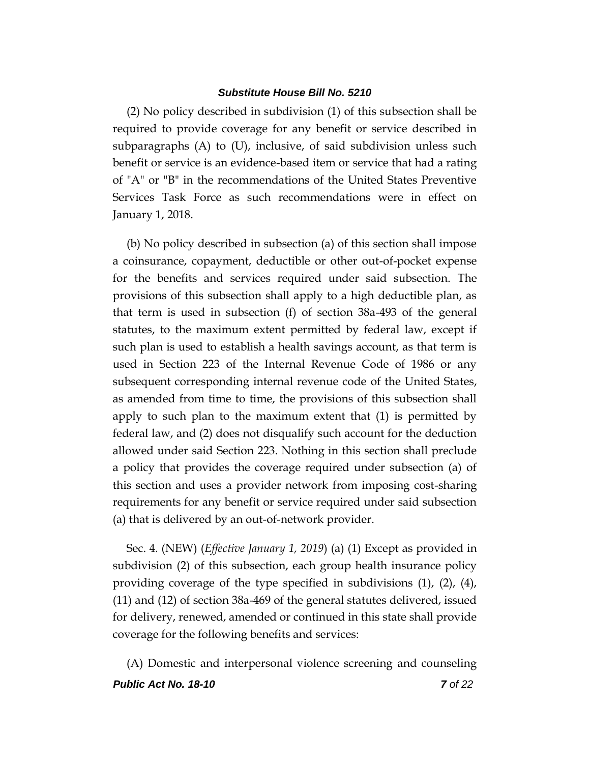(2) No policy described in subdivision (1) of this subsection shall be required to provide coverage for any benefit or service described in subparagraphs (A) to (U), inclusive, of said subdivision unless such benefit or service is an evidence-based item or service that had a rating of "A" or "B" in the recommendations of the United States Preventive Services Task Force as such recommendations were in effect on January 1, 2018.

(b) No policy described in subsection (a) of this section shall impose a coinsurance, copayment, deductible or other out-of-pocket expense for the benefits and services required under said subsection. The provisions of this subsection shall apply to a high deductible plan, as that term is used in subsection (f) of section 38a-493 of the general statutes, to the maximum extent permitted by federal law, except if such plan is used to establish a health savings account, as that term is used in Section 223 of the Internal Revenue Code of 1986 or any subsequent corresponding internal revenue code of the United States, as amended from time to time, the provisions of this subsection shall apply to such plan to the maximum extent that (1) is permitted by federal law, and (2) does not disqualify such account for the deduction allowed under said Section 223. Nothing in this section shall preclude a policy that provides the coverage required under subsection (a) of this section and uses a provider network from imposing cost-sharing requirements for any benefit or service required under said subsection (a) that is delivered by an out-of-network provider.

Sec. 4. (NEW) (*Effective January 1, 2019*) (a) (1) Except as provided in subdivision (2) of this subsection, each group health insurance policy providing coverage of the type specified in subdivisions (1), (2), (4), (11) and (12) of section 38a-469 of the general statutes delivered, issued for delivery, renewed, amended or continued in this state shall provide coverage for the following benefits and services:

*Public Act No. 18-10 7 of 22* (A) Domestic and interpersonal violence screening and counseling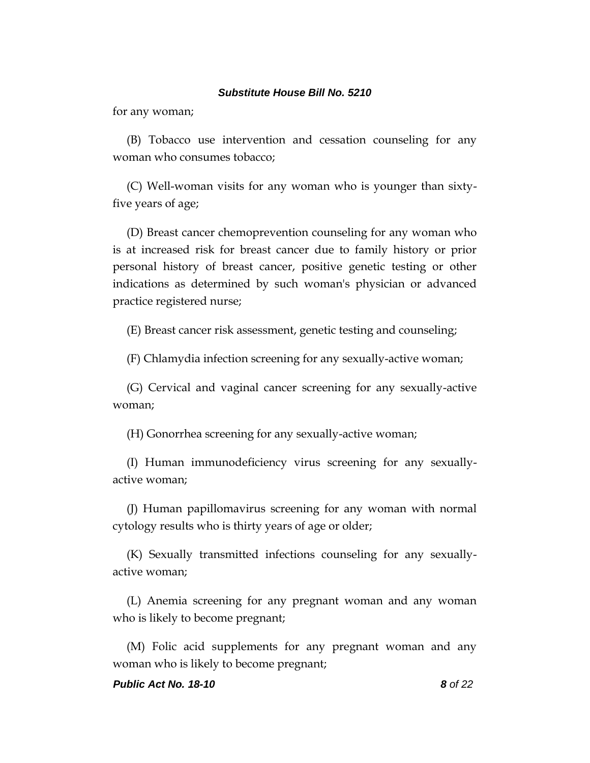for any woman;

(B) Tobacco use intervention and cessation counseling for any woman who consumes tobacco;

(C) Well-woman visits for any woman who is younger than sixtyfive years of age;

(D) Breast cancer chemoprevention counseling for any woman who is at increased risk for breast cancer due to family history or prior personal history of breast cancer, positive genetic testing or other indications as determined by such woman's physician or advanced practice registered nurse;

(E) Breast cancer risk assessment, genetic testing and counseling;

(F) Chlamydia infection screening for any sexually-active woman;

(G) Cervical and vaginal cancer screening for any sexually-active woman;

(H) Gonorrhea screening for any sexually-active woman;

(I) Human immunodeficiency virus screening for any sexuallyactive woman;

(J) Human papillomavirus screening for any woman with normal cytology results who is thirty years of age or older;

(K) Sexually transmitted infections counseling for any sexuallyactive woman;

(L) Anemia screening for any pregnant woman and any woman who is likely to become pregnant;

(M) Folic acid supplements for any pregnant woman and any woman who is likely to become pregnant;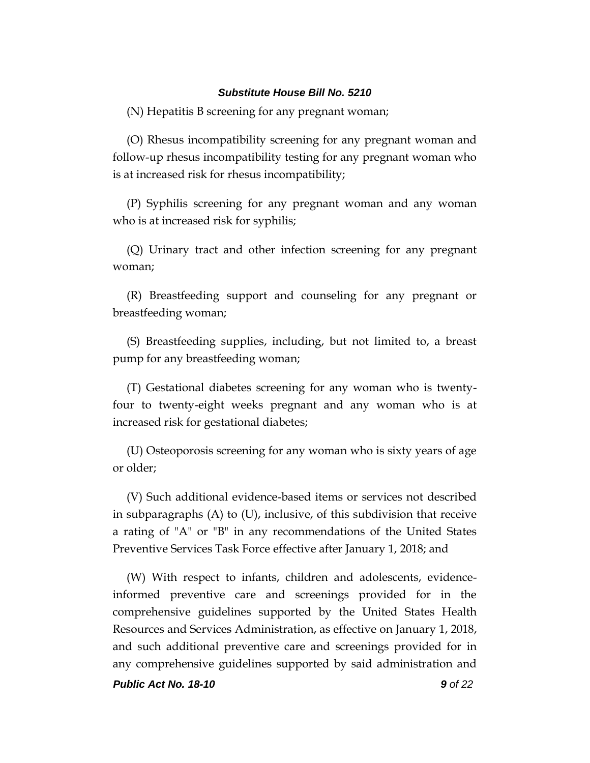(N) Hepatitis B screening for any pregnant woman;

(O) Rhesus incompatibility screening for any pregnant woman and follow-up rhesus incompatibility testing for any pregnant woman who is at increased risk for rhesus incompatibility;

(P) Syphilis screening for any pregnant woman and any woman who is at increased risk for syphilis;

(Q) Urinary tract and other infection screening for any pregnant woman;

(R) Breastfeeding support and counseling for any pregnant or breastfeeding woman;

(S) Breastfeeding supplies, including, but not limited to, a breast pump for any breastfeeding woman;

(T) Gestational diabetes screening for any woman who is twentyfour to twenty-eight weeks pregnant and any woman who is at increased risk for gestational diabetes;

(U) Osteoporosis screening for any woman who is sixty years of age or older;

(V) Such additional evidence-based items or services not described in subparagraphs (A) to (U), inclusive, of this subdivision that receive a rating of "A" or "B" in any recommendations of the United States Preventive Services Task Force effective after January 1, 2018; and

(W) With respect to infants, children and adolescents, evidenceinformed preventive care and screenings provided for in the comprehensive guidelines supported by the United States Health Resources and Services Administration, as effective on January 1, 2018, and such additional preventive care and screenings provided for in any comprehensive guidelines supported by said administration and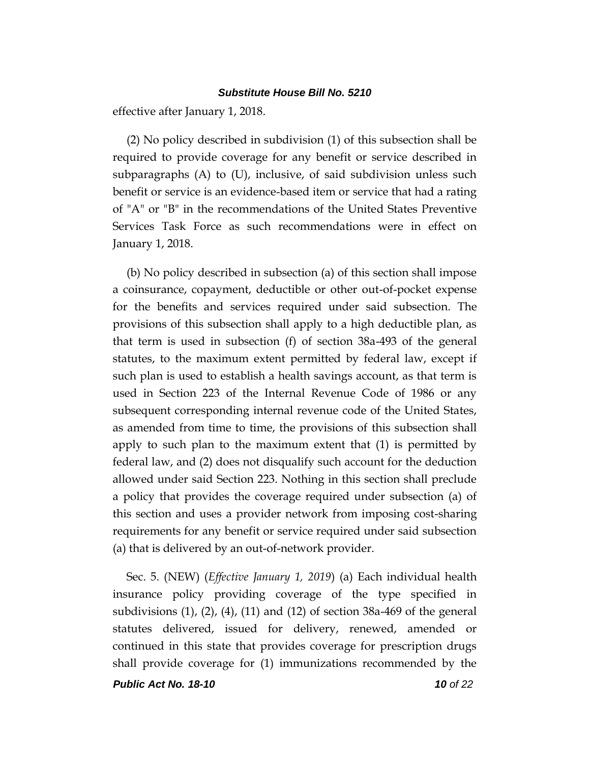effective after January 1, 2018.

(2) No policy described in subdivision (1) of this subsection shall be required to provide coverage for any benefit or service described in subparagraphs (A) to (U), inclusive, of said subdivision unless such benefit or service is an evidence-based item or service that had a rating of "A" or "B" in the recommendations of the United States Preventive Services Task Force as such recommendations were in effect on January 1, 2018.

(b) No policy described in subsection (a) of this section shall impose a coinsurance, copayment, deductible or other out-of-pocket expense for the benefits and services required under said subsection. The provisions of this subsection shall apply to a high deductible plan, as that term is used in subsection (f) of section 38a-493 of the general statutes, to the maximum extent permitted by federal law, except if such plan is used to establish a health savings account, as that term is used in Section 223 of the Internal Revenue Code of 1986 or any subsequent corresponding internal revenue code of the United States, as amended from time to time, the provisions of this subsection shall apply to such plan to the maximum extent that (1) is permitted by federal law, and (2) does not disqualify such account for the deduction allowed under said Section 223. Nothing in this section shall preclude a policy that provides the coverage required under subsection (a) of this section and uses a provider network from imposing cost-sharing requirements for any benefit or service required under said subsection (a) that is delivered by an out-of-network provider.

Sec. 5. (NEW) (*Effective January 1, 2019*) (a) Each individual health insurance policy providing coverage of the type specified in subdivisions (1), (2), (4), (11) and (12) of section 38a-469 of the general statutes delivered, issued for delivery, renewed, amended or continued in this state that provides coverage for prescription drugs shall provide coverage for (1) immunizations recommended by the

*Public Act No. 18-10 10 of 22*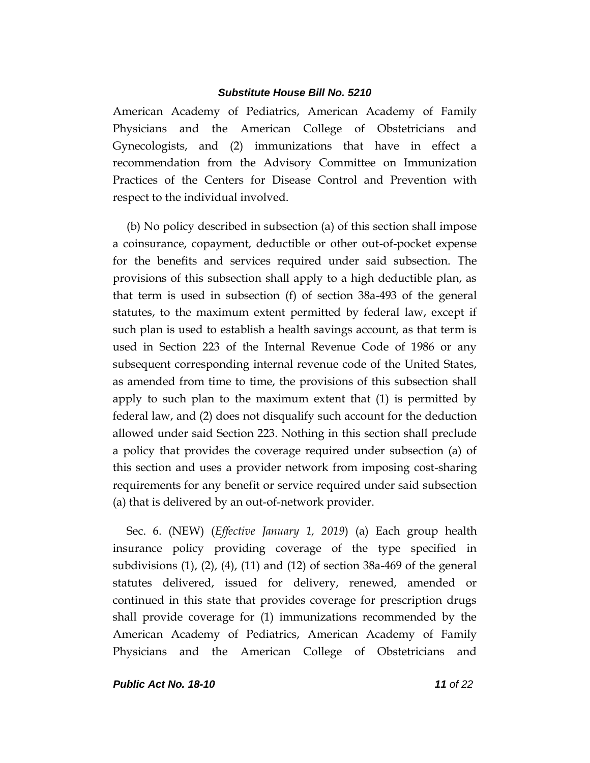American Academy of Pediatrics, American Academy of Family Physicians and the American College of Obstetricians and Gynecologists, and (2) immunizations that have in effect a recommendation from the Advisory Committee on Immunization Practices of the Centers for Disease Control and Prevention with respect to the individual involved.

(b) No policy described in subsection (a) of this section shall impose a coinsurance, copayment, deductible or other out-of-pocket expense for the benefits and services required under said subsection. The provisions of this subsection shall apply to a high deductible plan, as that term is used in subsection (f) of section 38a-493 of the general statutes, to the maximum extent permitted by federal law, except if such plan is used to establish a health savings account, as that term is used in Section 223 of the Internal Revenue Code of 1986 or any subsequent corresponding internal revenue code of the United States, as amended from time to time, the provisions of this subsection shall apply to such plan to the maximum extent that (1) is permitted by federal law, and (2) does not disqualify such account for the deduction allowed under said Section 223. Nothing in this section shall preclude a policy that provides the coverage required under subsection (a) of this section and uses a provider network from imposing cost-sharing requirements for any benefit or service required under said subsection (a) that is delivered by an out-of-network provider.

Sec. 6. (NEW) (*Effective January 1, 2019*) (a) Each group health insurance policy providing coverage of the type specified in subdivisions (1), (2), (4), (11) and (12) of section 38a-469 of the general statutes delivered, issued for delivery, renewed, amended or continued in this state that provides coverage for prescription drugs shall provide coverage for (1) immunizations recommended by the American Academy of Pediatrics, American Academy of Family Physicians and the American College of Obstetricians and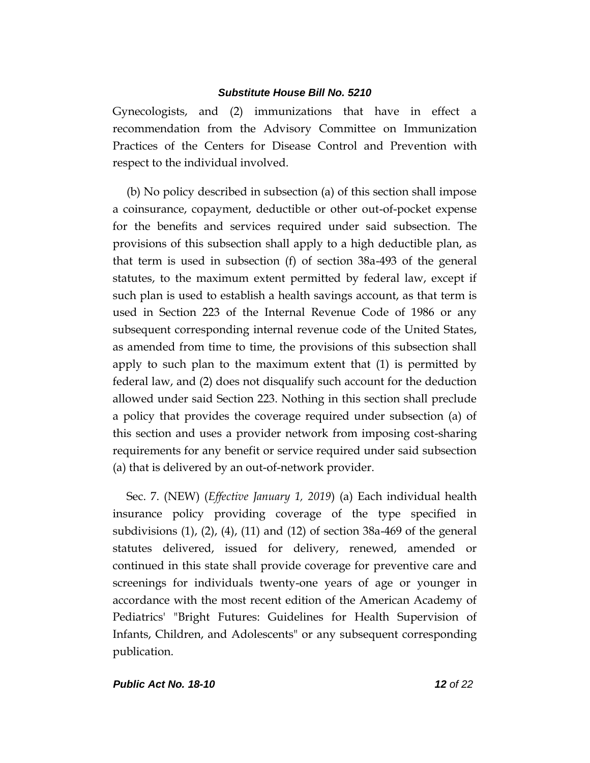Gynecologists, and (2) immunizations that have in effect a recommendation from the Advisory Committee on Immunization Practices of the Centers for Disease Control and Prevention with respect to the individual involved.

(b) No policy described in subsection (a) of this section shall impose a coinsurance, copayment, deductible or other out-of-pocket expense for the benefits and services required under said subsection. The provisions of this subsection shall apply to a high deductible plan, as that term is used in subsection (f) of section 38a-493 of the general statutes, to the maximum extent permitted by federal law, except if such plan is used to establish a health savings account, as that term is used in Section 223 of the Internal Revenue Code of 1986 or any subsequent corresponding internal revenue code of the United States, as amended from time to time, the provisions of this subsection shall apply to such plan to the maximum extent that (1) is permitted by federal law, and (2) does not disqualify such account for the deduction allowed under said Section 223. Nothing in this section shall preclude a policy that provides the coverage required under subsection (a) of this section and uses a provider network from imposing cost-sharing requirements for any benefit or service required under said subsection (a) that is delivered by an out-of-network provider.

Sec. 7. (NEW) (*Effective January 1, 2019*) (a) Each individual health insurance policy providing coverage of the type specified in subdivisions  $(1)$ ,  $(2)$ ,  $(4)$ ,  $(11)$  and  $(12)$  of section 38a-469 of the general statutes delivered, issued for delivery, renewed, amended or continued in this state shall provide coverage for preventive care and screenings for individuals twenty-one years of age or younger in accordance with the most recent edition of the American Academy of Pediatrics' "Bright Futures: Guidelines for Health Supervision of Infants, Children, and Adolescents" or any subsequent corresponding publication.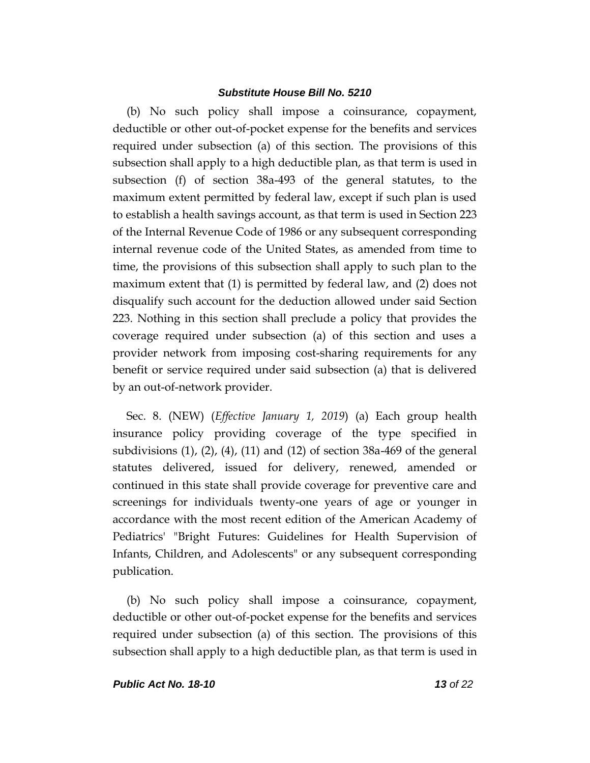(b) No such policy shall impose a coinsurance, copayment, deductible or other out-of-pocket expense for the benefits and services required under subsection (a) of this section. The provisions of this subsection shall apply to a high deductible plan, as that term is used in subsection (f) of section 38a-493 of the general statutes, to the maximum extent permitted by federal law, except if such plan is used to establish a health savings account, as that term is used in Section 223 of the Internal Revenue Code of 1986 or any subsequent corresponding internal revenue code of the United States, as amended from time to time, the provisions of this subsection shall apply to such plan to the maximum extent that (1) is permitted by federal law, and (2) does not disqualify such account for the deduction allowed under said Section 223. Nothing in this section shall preclude a policy that provides the coverage required under subsection (a) of this section and uses a provider network from imposing cost-sharing requirements for any benefit or service required under said subsection (a) that is delivered by an out-of-network provider.

Sec. 8. (NEW) (*Effective January 1, 2019*) (a) Each group health insurance policy providing coverage of the type specified in subdivisions (1), (2), (4), (11) and (12) of section 38a-469 of the general statutes delivered, issued for delivery, renewed, amended or continued in this state shall provide coverage for preventive care and screenings for individuals twenty-one years of age or younger in accordance with the most recent edition of the American Academy of Pediatrics' "Bright Futures: Guidelines for Health Supervision of Infants, Children, and Adolescents" or any subsequent corresponding publication.

(b) No such policy shall impose a coinsurance, copayment, deductible or other out-of-pocket expense for the benefits and services required under subsection (a) of this section. The provisions of this subsection shall apply to a high deductible plan, as that term is used in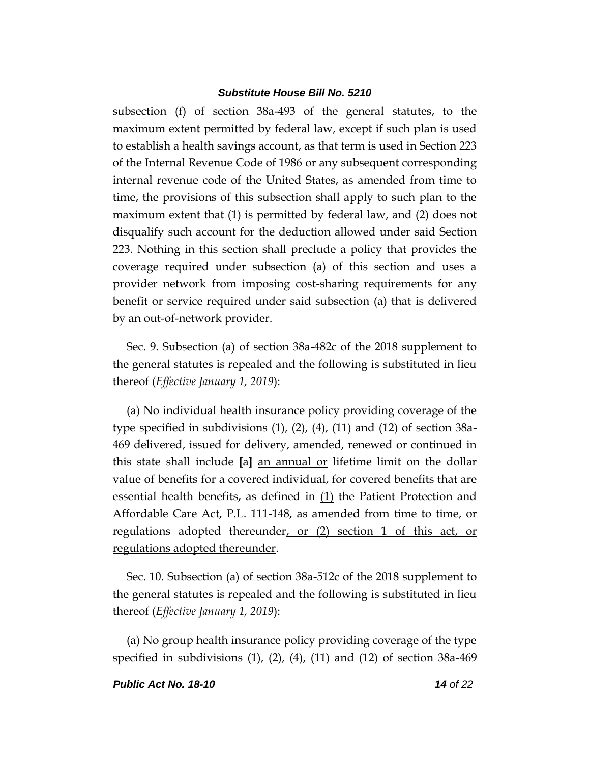subsection (f) of section 38a-493 of the general statutes, to the maximum extent permitted by federal law, except if such plan is used to establish a health savings account, as that term is used in Section 223 of the Internal Revenue Code of 1986 or any subsequent corresponding internal revenue code of the United States, as amended from time to time, the provisions of this subsection shall apply to such plan to the maximum extent that (1) is permitted by federal law, and (2) does not disqualify such account for the deduction allowed under said Section 223. Nothing in this section shall preclude a policy that provides the coverage required under subsection (a) of this section and uses a provider network from imposing cost-sharing requirements for any benefit or service required under said subsection (a) that is delivered by an out-of-network provider.

Sec. 9. Subsection (a) of section 38a-482c of the 2018 supplement to the general statutes is repealed and the following is substituted in lieu thereof (*Effective January 1, 2019*):

(a) No individual health insurance policy providing coverage of the type specified in subdivisions (1), (2), (4), (11) and (12) of section 38a-469 delivered, issued for delivery, amended, renewed or continued in this state shall include **[**a**]** an annual or lifetime limit on the dollar value of benefits for a covered individual, for covered benefits that are essential health benefits, as defined in  $(1)$  the Patient Protection and Affordable Care Act, P.L. 111-148, as amended from time to time, or regulations adopted thereunder, or (2) section 1 of this act, or regulations adopted thereunder.

Sec. 10. Subsection (a) of section 38a-512c of the 2018 supplement to the general statutes is repealed and the following is substituted in lieu thereof (*Effective January 1, 2019*):

(a) No group health insurance policy providing coverage of the type specified in subdivisions  $(1)$ ,  $(2)$ ,  $(4)$ ,  $(11)$  and  $(12)$  of section 38a-469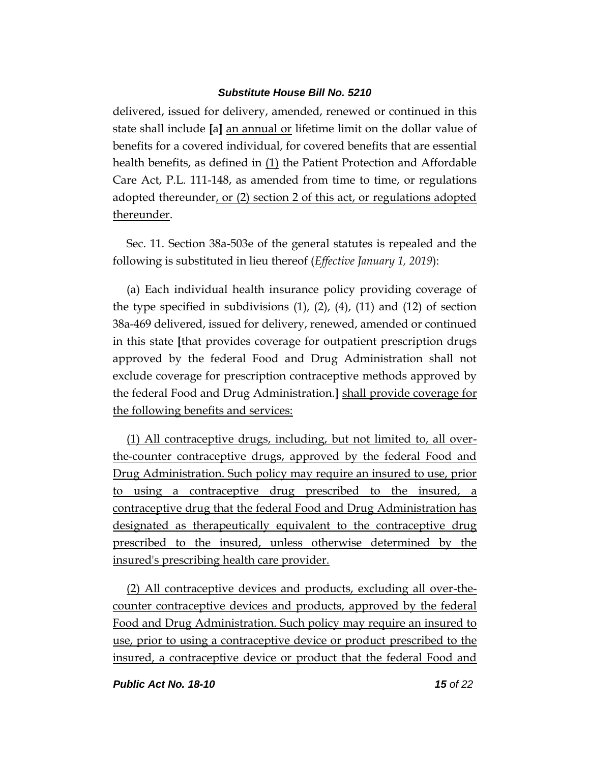delivered, issued for delivery, amended, renewed or continued in this state shall include **[**a**]** an annual or lifetime limit on the dollar value of benefits for a covered individual, for covered benefits that are essential health benefits, as defined in (1) the Patient Protection and Affordable Care Act, P.L. 111-148, as amended from time to time, or regulations adopted thereunder, or (2) section 2 of this act, or regulations adopted thereunder.

Sec. 11. Section 38a-503e of the general statutes is repealed and the following is substituted in lieu thereof (*Effective January 1, 2019*):

(a) Each individual health insurance policy providing coverage of the type specified in subdivisions  $(1)$ ,  $(2)$ ,  $(4)$ ,  $(11)$  and  $(12)$  of section 38a-469 delivered, issued for delivery, renewed, amended or continued in this state **[**that provides coverage for outpatient prescription drugs approved by the federal Food and Drug Administration shall not exclude coverage for prescription contraceptive methods approved by the federal Food and Drug Administration.**]** shall provide coverage for the following benefits and services:

(1) All contraceptive drugs, including, but not limited to, all overthe-counter contraceptive drugs, approved by the federal Food and Drug Administration. Such policy may require an insured to use, prior to using a contraceptive drug prescribed to the insured, a contraceptive drug that the federal Food and Drug Administration has designated as therapeutically equivalent to the contraceptive drug prescribed to the insured, unless otherwise determined by the insured's prescribing health care provider.

(2) All contraceptive devices and products, excluding all over-thecounter contraceptive devices and products, approved by the federal Food and Drug Administration. Such policy may require an insured to use, prior to using a contraceptive device or product prescribed to the insured, a contraceptive device or product that the federal Food and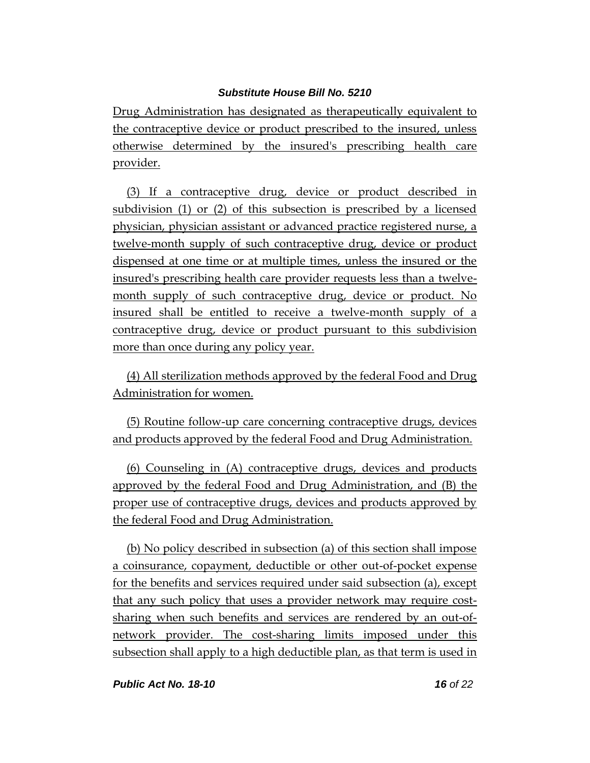Drug Administration has designated as therapeutically equivalent to the contraceptive device or product prescribed to the insured, unless otherwise determined by the insured's prescribing health care provider.

(3) If a contraceptive drug, device or product described in subdivision (1) or (2) of this subsection is prescribed by a licensed physician, physician assistant or advanced practice registered nurse, a twelve-month supply of such contraceptive drug, device or product dispensed at one time or at multiple times, unless the insured or the insured's prescribing health care provider requests less than a twelvemonth supply of such contraceptive drug, device or product. No insured shall be entitled to receive a twelve-month supply of a contraceptive drug, device or product pursuant to this subdivision more than once during any policy year.

(4) All sterilization methods approved by the federal Food and Drug Administration for women.

(5) Routine follow-up care concerning contraceptive drugs, devices and products approved by the federal Food and Drug Administration.

(6) Counseling in (A) contraceptive drugs, devices and products approved by the federal Food and Drug Administration, and (B) the proper use of contraceptive drugs, devices and products approved by the federal Food and Drug Administration.

(b) No policy described in subsection (a) of this section shall impose a coinsurance, copayment, deductible or other out-of-pocket expense for the benefits and services required under said subsection (a), except that any such policy that uses a provider network may require costsharing when such benefits and services are rendered by an out-ofnetwork provider. The cost-sharing limits imposed under this subsection shall apply to a high deductible plan, as that term is used in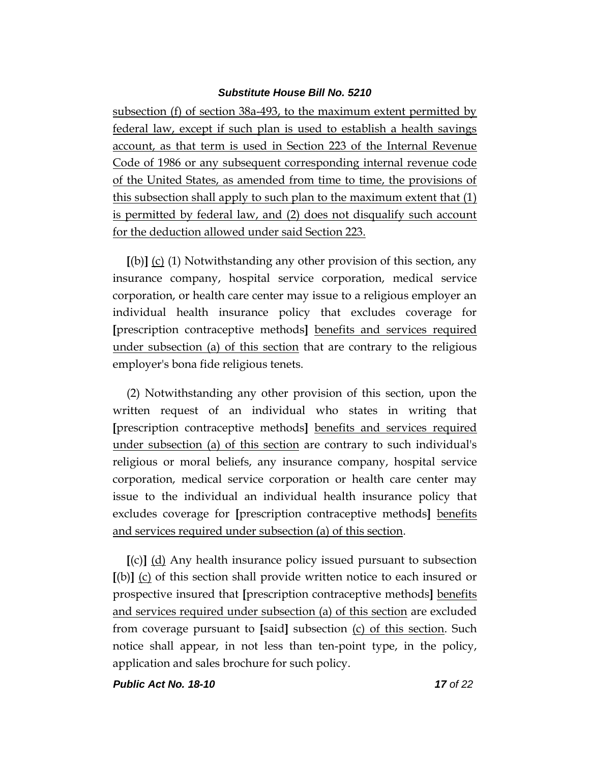subsection (f) of section 38a-493, to the maximum extent permitted by federal law, except if such plan is used to establish a health savings account, as that term is used in Section 223 of the Internal Revenue Code of 1986 or any subsequent corresponding internal revenue code of the United States, as amended from time to time, the provisions of this subsection shall apply to such plan to the maximum extent that (1) is permitted by federal law, and (2) does not disqualify such account for the deduction allowed under said Section 223.

**[**(b)**]** (c) (1) Notwithstanding any other provision of this section, any insurance company, hospital service corporation, medical service corporation, or health care center may issue to a religious employer an individual health insurance policy that excludes coverage for **[**prescription contraceptive methods**]** benefits and services required under subsection (a) of this section that are contrary to the religious employer's bona fide religious tenets.

(2) Notwithstanding any other provision of this section, upon the written request of an individual who states in writing that **[**prescription contraceptive methods**]** benefits and services required under subsection (a) of this section are contrary to such individual's religious or moral beliefs, any insurance company, hospital service corporation, medical service corporation or health care center may issue to the individual an individual health insurance policy that excludes coverage for **[**prescription contraceptive methods**]** benefits and services required under subsection (a) of this section.

**[**(c)**]** (d) Any health insurance policy issued pursuant to subsection **[**(b)**]** (c) of this section shall provide written notice to each insured or prospective insured that **[**prescription contraceptive methods**]** benefits and services required under subsection (a) of this section are excluded from coverage pursuant to **[**said**]** subsection (c) of this section. Such notice shall appear, in not less than ten-point type, in the policy, application and sales brochure for such policy.

*Public Act No. 18-10 17 of 22*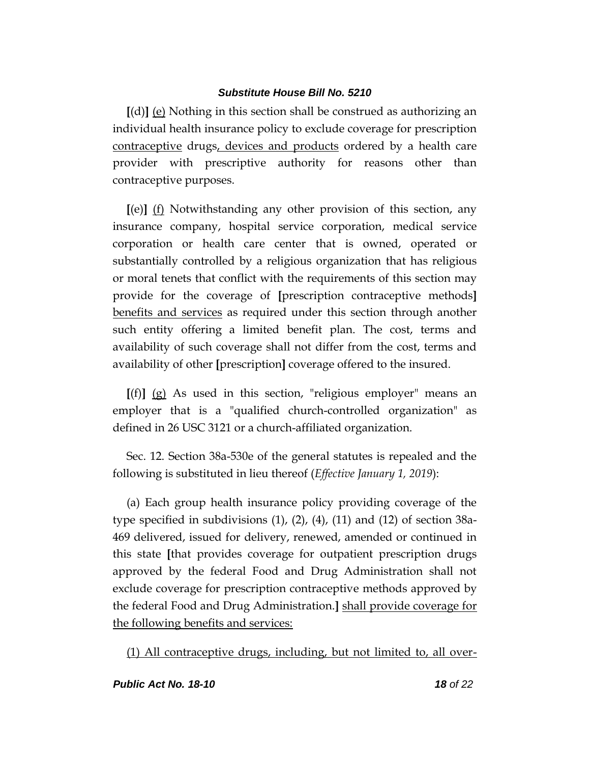**[**(d)**]** (e) Nothing in this section shall be construed as authorizing an individual health insurance policy to exclude coverage for prescription contraceptive drugs, devices and products ordered by a health care provider with prescriptive authority for reasons other than contraceptive purposes.

**[**(e)**]** (f) Notwithstanding any other provision of this section, any insurance company, hospital service corporation, medical service corporation or health care center that is owned, operated or substantially controlled by a religious organization that has religious or moral tenets that conflict with the requirements of this section may provide for the coverage of **[**prescription contraceptive methods**]** benefits and services as required under this section through another such entity offering a limited benefit plan. The cost, terms and availability of such coverage shall not differ from the cost, terms and availability of other **[**prescription**]** coverage offered to the insured.

**[**(f)**]** (g) As used in this section, "religious employer" means an employer that is a "qualified church-controlled organization" as defined in 26 USC 3121 or a church-affiliated organization.

Sec. 12. Section 38a-530e of the general statutes is repealed and the following is substituted in lieu thereof (*Effective January 1, 2019*):

(a) Each group health insurance policy providing coverage of the type specified in subdivisions  $(1)$ ,  $(2)$ ,  $(4)$ ,  $(11)$  and  $(12)$  of section 38a-469 delivered, issued for delivery, renewed, amended or continued in this state **[**that provides coverage for outpatient prescription drugs approved by the federal Food and Drug Administration shall not exclude coverage for prescription contraceptive methods approved by the federal Food and Drug Administration.**]** shall provide coverage for the following benefits and services:

(1) All contraceptive drugs, including, but not limited to, all over-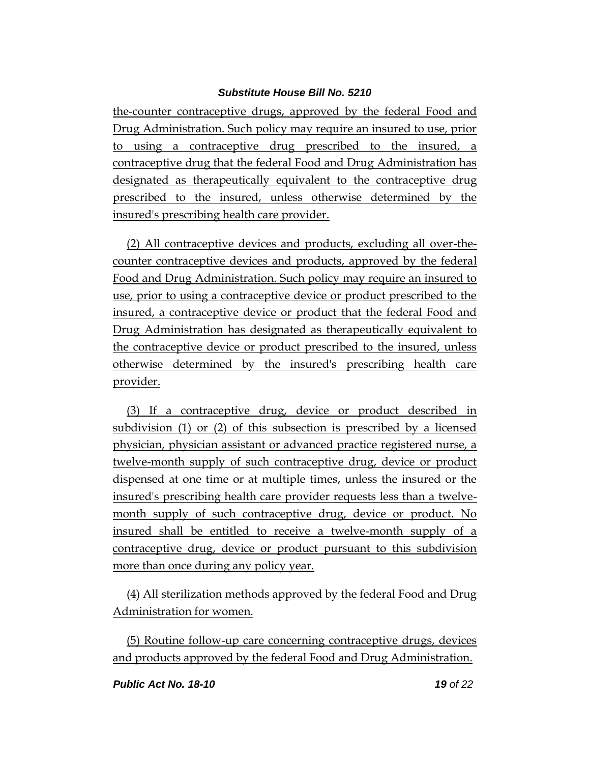the-counter contraceptive drugs, approved by the federal Food and Drug Administration. Such policy may require an insured to use, prior to using a contraceptive drug prescribed to the insured, a contraceptive drug that the federal Food and Drug Administration has designated as therapeutically equivalent to the contraceptive drug prescribed to the insured, unless otherwise determined by the insured's prescribing health care provider.

(2) All contraceptive devices and products, excluding all over-thecounter contraceptive devices and products, approved by the federal Food and Drug Administration. Such policy may require an insured to use, prior to using a contraceptive device or product prescribed to the insured, a contraceptive device or product that the federal Food and Drug Administration has designated as therapeutically equivalent to the contraceptive device or product prescribed to the insured, unless otherwise determined by the insured's prescribing health care provider.

(3) If a contraceptive drug, device or product described in subdivision (1) or (2) of this subsection is prescribed by a licensed physician, physician assistant or advanced practice registered nurse, a twelve-month supply of such contraceptive drug, device or product dispensed at one time or at multiple times, unless the insured or the insured's prescribing health care provider requests less than a twelvemonth supply of such contraceptive drug, device or product. No insured shall be entitled to receive a twelve-month supply of a contraceptive drug, device or product pursuant to this subdivision more than once during any policy year.

(4) All sterilization methods approved by the federal Food and Drug Administration for women.

(5) Routine follow-up care concerning contraceptive drugs, devices and products approved by the federal Food and Drug Administration.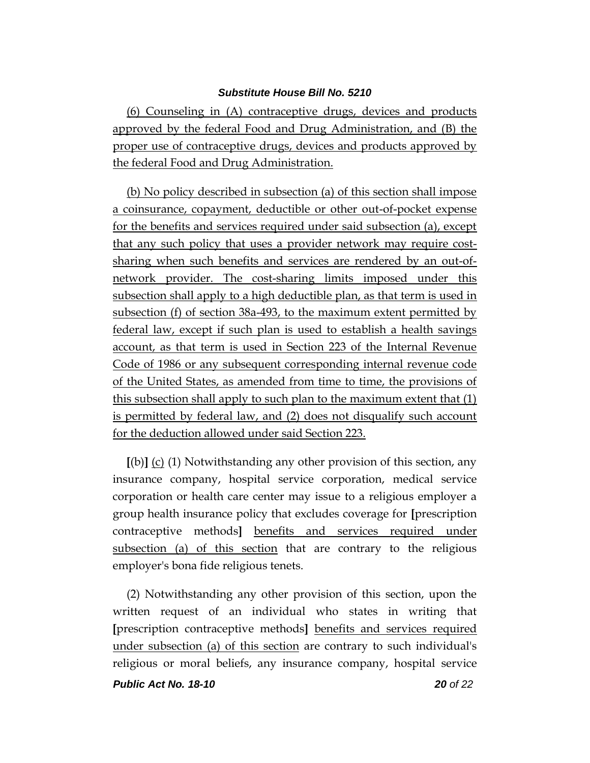(6) Counseling in (A) contraceptive drugs, devices and products approved by the federal Food and Drug Administration, and (B) the proper use of contraceptive drugs, devices and products approved by the federal Food and Drug Administration.

(b) No policy described in subsection (a) of this section shall impose a coinsurance, copayment, deductible or other out-of-pocket expense for the benefits and services required under said subsection (a), except that any such policy that uses a provider network may require costsharing when such benefits and services are rendered by an out-ofnetwork provider. The cost-sharing limits imposed under this subsection shall apply to a high deductible plan, as that term is used in subsection (f) of section 38a-493, to the maximum extent permitted by federal law, except if such plan is used to establish a health savings account, as that term is used in Section 223 of the Internal Revenue Code of 1986 or any subsequent corresponding internal revenue code of the United States, as amended from time to time, the provisions of this subsection shall apply to such plan to the maximum extent that (1) is permitted by federal law, and (2) does not disqualify such account for the deduction allowed under said Section 223.

**[**(b)**]** (c) (1) Notwithstanding any other provision of this section, any insurance company, hospital service corporation, medical service corporation or health care center may issue to a religious employer a group health insurance policy that excludes coverage for **[**prescription contraceptive methods**]** benefits and services required under subsection (a) of this section that are contrary to the religious employer's bona fide religious tenets.

(2) Notwithstanding any other provision of this section, upon the written request of an individual who states in writing that **[**prescription contraceptive methods**]** benefits and services required under subsection (a) of this section are contrary to such individual's religious or moral beliefs, any insurance company, hospital service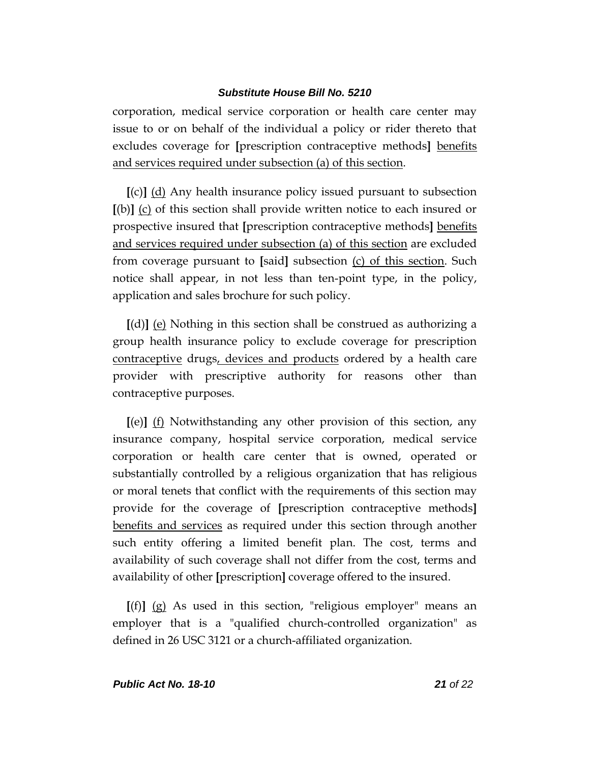corporation, medical service corporation or health care center may issue to or on behalf of the individual a policy or rider thereto that excludes coverage for **[**prescription contraceptive methods**]** benefits and services required under subsection (a) of this section.

**[**(c)**]** (d) Any health insurance policy issued pursuant to subsection **[**(b)**]** (c) of this section shall provide written notice to each insured or prospective insured that **[**prescription contraceptive methods**]** benefits and services required under subsection (a) of this section are excluded from coverage pursuant to **[**said**]** subsection (c) of this section. Such notice shall appear, in not less than ten-point type, in the policy, application and sales brochure for such policy.

**[**(d)**]** (e) Nothing in this section shall be construed as authorizing a group health insurance policy to exclude coverage for prescription contraceptive drugs, devices and products ordered by a health care provider with prescriptive authority for reasons other than contraceptive purposes.

**[**(e)**]** (f) Notwithstanding any other provision of this section, any insurance company, hospital service corporation, medical service corporation or health care center that is owned, operated or substantially controlled by a religious organization that has religious or moral tenets that conflict with the requirements of this section may provide for the coverage of **[**prescription contraceptive methods**]** benefits and services as required under this section through another such entity offering a limited benefit plan. The cost, terms and availability of such coverage shall not differ from the cost, terms and availability of other **[**prescription**]** coverage offered to the insured.

**[**(f)**]** (g) As used in this section, "religious employer" means an employer that is a "qualified church-controlled organization" as defined in 26 USC 3121 or a church-affiliated organization.